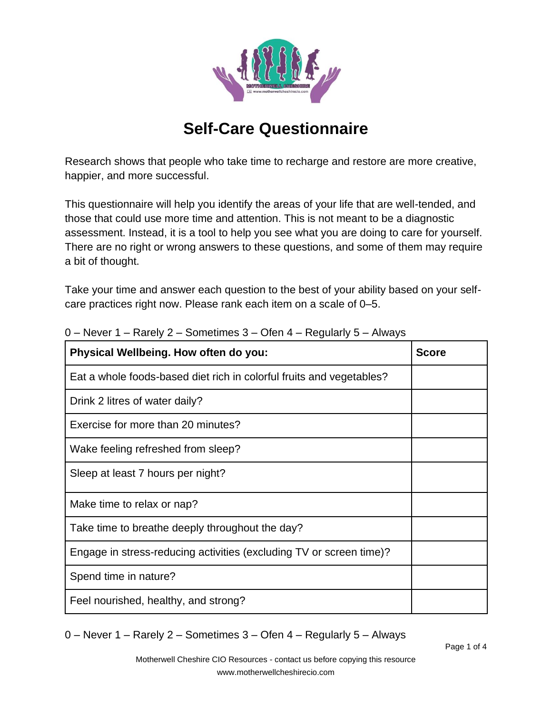

## **Self-Care Questionnaire**

Research shows that people who take time to recharge and restore are more creative, happier, and more successful.

This questionnaire will help you identify the areas of your life that are well-tended, and those that could use more time and attention. This is not meant to be a diagnostic assessment. Instead, it is a tool to help you see what you are doing to care for yourself. There are no right or wrong answers to these questions, and some of them may require a bit of thought.

Take your time and answer each question to the best of your ability based on your selfcare practices right now. Please rank each item on a scale of 0–5.

| Physical Wellbeing. How often do you:                                | <b>Score</b> |
|----------------------------------------------------------------------|--------------|
| Eat a whole foods-based diet rich in colorful fruits and vegetables? |              |
| Drink 2 litres of water daily?                                       |              |
| Exercise for more than 20 minutes?                                   |              |
| Wake feeling refreshed from sleep?                                   |              |
| Sleep at least 7 hours per night?                                    |              |
| Make time to relax or nap?                                           |              |
| Take time to breathe deeply throughout the day?                      |              |
| Engage in stress-reducing activities (excluding TV or screen time)?  |              |
| Spend time in nature?                                                |              |
| Feel nourished, healthy, and strong?                                 |              |

0 – Never 1 – Rarely 2 – Sometimes 3 – Ofen 4 – Regularly 5 – Always

0 – Never 1 – Rarely 2 – Sometimes 3 – Ofen 4 – Regularly 5 – Always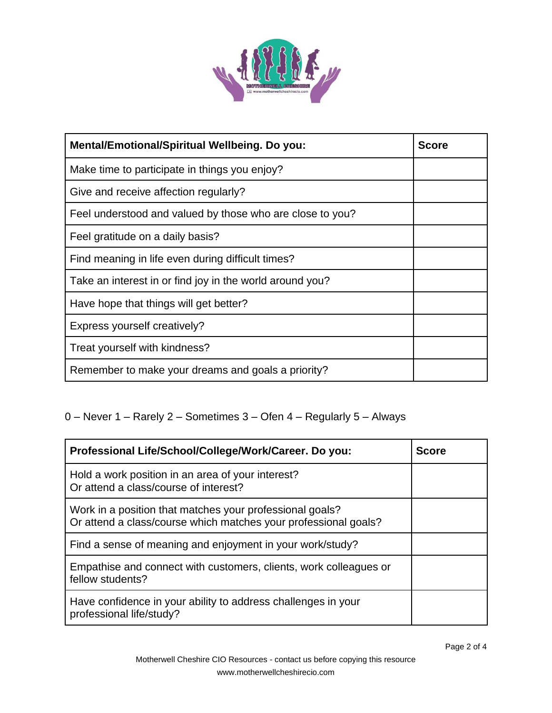

| Mental/Emotional/Spiritual Wellbeing. Do you:             | <b>Score</b> |
|-----------------------------------------------------------|--------------|
| Make time to participate in things you enjoy?             |              |
| Give and receive affection regularly?                     |              |
| Feel understood and valued by those who are close to you? |              |
| Feel gratitude on a daily basis?                          |              |
| Find meaning in life even during difficult times?         |              |
| Take an interest in or find joy in the world around you?  |              |
| Have hope that things will get better?                    |              |
| Express yourself creatively?                              |              |
| Treat yourself with kindness?                             |              |
| Remember to make your dreams and goals a priority?        |              |

## 0 – Never 1 – Rarely 2 – Sometimes 3 – Ofen 4 – Regularly 5 – Always

| Professional Life/School/College/Work/Career. Do you:                                                                       | <b>Score</b> |
|-----------------------------------------------------------------------------------------------------------------------------|--------------|
| Hold a work position in an area of your interest?<br>Or attend a class/course of interest?                                  |              |
| Work in a position that matches your professional goals?<br>Or attend a class/course which matches your professional goals? |              |
| Find a sense of meaning and enjoyment in your work/study?                                                                   |              |
| Empathise and connect with customers, clients, work colleagues or<br>fellow students?                                       |              |
| Have confidence in your ability to address challenges in your<br>professional life/study?                                   |              |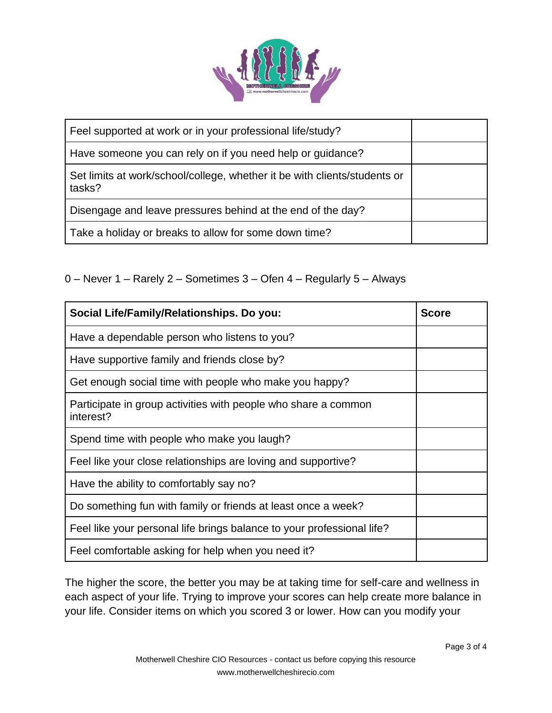

| Feel supported at work or in your professional life/study?                          |  |
|-------------------------------------------------------------------------------------|--|
| Have someone you can rely on if you need help or guidance?                          |  |
| Set limits at work/school/college, whether it be with clients/students or<br>tasks? |  |
| Disengage and leave pressures behind at the end of the day?                         |  |
| Take a holiday or breaks to allow for some down time?                               |  |

0 – Never 1 – Rarely 2 – Sometimes 3 – Ofen 4 – Regularly 5 – Always

| Social Life/Family/Relationships. Do you:                                   | <b>Score</b> |
|-----------------------------------------------------------------------------|--------------|
| Have a dependable person who listens to you?                                |              |
| Have supportive family and friends close by?                                |              |
| Get enough social time with people who make you happy?                      |              |
| Participate in group activities with people who share a common<br>interest? |              |
| Spend time with people who make you laugh?                                  |              |
| Feel like your close relationships are loving and supportive?               |              |
| Have the ability to comfortably say no?                                     |              |
| Do something fun with family or friends at least once a week?               |              |
| Feel like your personal life brings balance to your professional life?      |              |
| Feel comfortable asking for help when you need it?                          |              |

The higher the score, the better you may be at taking time for self-care and wellness in each aspect of your life. Trying to improve your scores can help create more balance in your life. Consider items on which you scored 3 or lower. How can you modify your